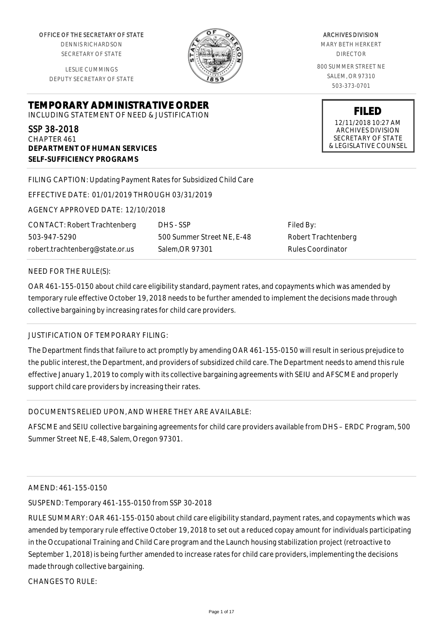OFFICE OF THE SECRETARY OF STATE

DENNIS RICHARDSON SECRETARY OF STATE

LESLIE CUMMINGS DEPUTY SECRETARY OF STATE

**DEPARTMENT OF HUMAN SERVICES**

**SELF-SUFFICIENCY PROGRAMS**



ARCHIVES DIVISION MARY BETH HERKERT DIRECTOR 800 SUMMER STREET NE SALEM, OR 97310 503-373-0701

> **FILED** 12/11/2018 10:27 AM ARCHIVES DIVISION SECRETARY OF STATE & LEGISLATIVE COUNSEL

FILING CAPTION: Updating Payment Rates for Subsidized Child Care

EFFECTIVE DATE: 01/01/2019 THROUGH 03/31/2019

**TEMPORARY ADMINISTRATIVE ORDER** INCLUDING STATEMENT OF NEED & JUSTIFICATION

AGENCY APPROVED DATE: 12/10/2018

CONTACT: Robert Trachtenberg 503-947-5290 robert.trachtenberg@state.or.us

DHS - SSP 500 Summer Street NE, E-48 Salem,OR 97301

Filed By: Robert Trachtenberg Rules Coordinator

#### NEED FOR THE RULE(S):

SSP 38-2018 CHAPTER 461

OAR 461-155-0150 about child care eligibility standard, payment rates, and copayments which was amended by temporary rule effective October 19, 2018 needs to be further amended to implement the decisions made through collective bargaining by increasing rates for child care providers.

#### JUSTIFICATION OF TEMPORARY FILING:

The Department finds that failure to act promptly by amending OAR 461-155-0150 will result in serious prejudice to the public interest, the Department, and providers of subsidized child care. The Department needs to amend this rule effective January 1, 2019 to comply with its collective bargaining agreements with SEIU and AFSCME and properly support child care providers by increasing their rates.

#### DOCUMENTS RELIED UPON, AND WHERE THEY ARE AVAILABLE:

AFSCME and SEIU collective bargaining agreements for child care providers available from DHS – ERDC Program, 500 Summer Street NE, E-48, Salem, Oregon 97301.

#### AMEND: 461-155-0150

SUSPEND: Temporary 461-155-0150 from SSP 30-2018

RULE SUMMARY: OAR 461-155-0150 about child care eligibility standard, payment rates, and copayments which was amended by temporary rule effective October 19, 2018 to set out a reduced copay amount for individuals participating in the Occupational Training and Child Care program and the Launch housing stabilization project (retroactive to September 1, 2018) is being further amended to increase rates for child care providers, implementing the decisions made through collective bargaining.

CHANGES TO RULE: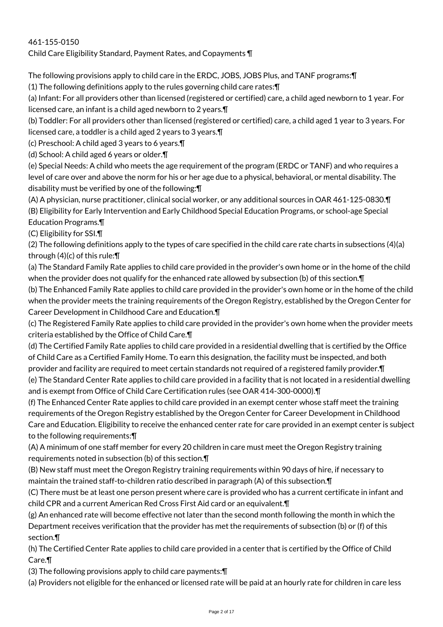# 461-155-0150

Child Care Eligibility Standard, Payment Rates, and Copayments ¶

The following provisions apply to child care in the ERDC, JOBS, JOBS Plus, and TANF programs:¶

(1) The following definitions apply to the rules governing child care rates:¶

(a) Infant: For all providers other than licensed (registered or certified) care, a child aged newborn to 1 year. For licensed care, an infant is a child aged newborn to 2 years.¶

(b) Toddler: For all providers other than licensed (registered or certified) care, a child aged 1 year to 3 years. For licensed care, a toddler is a child aged 2 years to 3 years.¶

(c) Preschool: A child aged 3 years to 6 years.¶

(d) School: A child aged 6 years or older.¶

(e) Special Needs: A child who meets the age requirement of the program (ERDC or TANF) and who requires a level of care over and above the norm for his or her age due to a physical, behavioral, or mental disability. The disability must be verified by one of the following:¶

(A) A physician, nurse practitioner, clinical social worker, or any additional sources in OAR 461-125-0830.¶ (B) Eligibility for Early Intervention and Early Childhood Special Education Programs, or school-age Special Education Programs.¶

(C) Eligibility for SSI.¶

(2) The following definitions apply to the types of care specified in the child care rate charts in subsections (4)(a) through (4)(c) of this rule:¶

(a) The Standard Family Rate applies to child care provided in the provider's own home or in the home of the child when the provider does not qualify for the enhanced rate allowed by subsection (b) of this section.¶

(b) The Enhanced Family Rate applies to child care provided in the provider's own home or in the home of the child when the provider meets the training requirements of the Oregon Registry, established by the Oregon Center for Career Development in Childhood Care and Education.¶

(c) The Registered Family Rate applies to child care provided in the provider's own home when the provider meets criteria established by the Office of Child Care.¶

(d) The Certified Family Rate applies to child care provided in a residential dwelling that is certified by the Office of Child Care as a Certified Family Home. To earn this designation, the facility must be inspected, and both provider and facility are required to meet certain standards not required of a registered family provider.¶ (e) The Standard Center Rate applies to child care provided in a facility that is not located in a residential dwelling and is exempt from Office of Child Care Certification rules (see OAR 414-300-0000).¶

(f) The Enhanced Center Rate applies to child care provided in an exempt center whose staff meet the training requirements of the Oregon Registry established by the Oregon Center for Career Development in Childhood Care and Education. Eligibility to receive the enhanced center rate for care provided in an exempt center is subject to the following requirements:¶

(A) A minimum of one staff member for every 20 children in care must meet the Oregon Registry training requirements noted in subsection (b) of this section.¶

(B) New staff must meet the Oregon Registry training requirements within 90 days of hire, if necessary to maintain the trained staff-to-children ratio described in paragraph (A) of this subsection.¶

(C) There must be at least one person present where care is provided who has a current certificate in infant and child CPR and a current American Red Cross First Aid card or an equivalent.¶

(g) An enhanced rate will become effective not later than the second month following the month in which the Department receives verification that the provider has met the requirements of subsection (b) or (f) of this section.¶

(h) The Certified Center Rate applies to child care provided in a center that is certified by the Office of Child Care.¶

(3) The following provisions apply to child care payments:¶

(a) Providers not eligible for the enhanced or licensed rate will be paid at an hourly rate for children in care less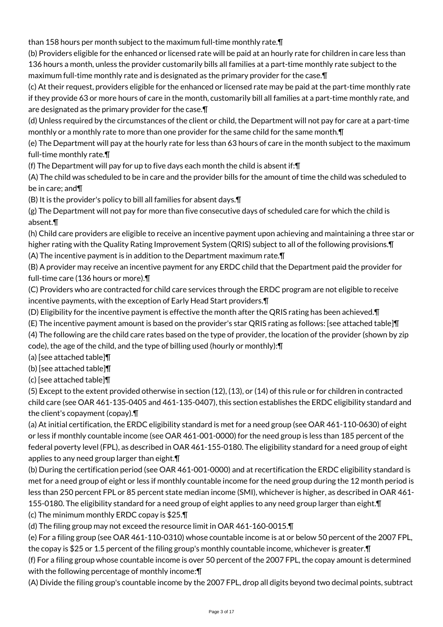than 158 hours per month subject to the maximum full-time monthly rate.¶

(b) Providers eligible for the enhanced or licensed rate will be paid at an hourly rate for children in care less than 136 hours a month, unless the provider customarily bills all families at a part-time monthly rate subject to the maximum full-time monthly rate and is designated as the primary provider for the case.¶

(c) At their request, providers eligible for the enhanced or licensed rate may be paid at the part-time monthly rate if they provide 63 or more hours of care in the month, customarily bill all families at a part-time monthly rate, and are designated as the primary provider for the case.¶

(d) Unless required by the circumstances of the client or child, the Department will not pay for care at a part-time monthly or a monthly rate to more than one provider for the same child for the same month.¶

(e) The Department will pay at the hourly rate for less than 63 hours of care in the month subject to the maximum full-time monthly rate.¶

(f) The Department will pay for up to five days each month the child is absent if:¶

(A) The child was scheduled to be in care and the provider bills for the amount of time the child was scheduled to be in care; and¶

(B) It is the provider's policy to bill all families for absent days.¶

(g) The Department will not pay for more than five consecutive days of scheduled care for which the child is absent.¶

(h) Child care providers are eligible to receive an incentive payment upon achieving and maintaining a three star or higher rating with the Quality Rating Improvement System (QRIS) subject to all of the following provisions.¶

(A) The incentive payment is in addition to the Department maximum rate.¶ (B) A provider may receive an incentive payment for any ERDC child that the Department paid the provider for

full-time care (136 hours or more).¶

(C) Providers who are contracted for child care services through the ERDC program are not eligible to receive incentive payments, with the exception of Early Head Start providers.¶

(D) Eligibility for the incentive payment is effective the month after the QRIS rating has been achieved.¶

(E) The incentive payment amount is based on the provider's star QRIS rating as follows: [see attached table]¶ (4) The following are the child care rates based on the type of provider, the location of the provider (shown by zip

code), the age of the child, and the type of billing used (hourly or monthly):¶

(a) [see attached table]¶

(b) [see attached table]¶

(c) [see attached table]¶

(5) Except to the extent provided otherwise in section (12), (13), or (14) of this rule or for children in contracted child care (see OAR 461-135-0405 and 461-135-0407), this section establishes the ERDC eligibility standard and the client's copayment (copay).¶

(a) At initial certification, the ERDC eligibility standard is met for a need group (see OAR 461-110-0630) of eight or less if monthly countable income (see OAR 461-001-0000) for the need group is less than 185 percent of the federal poverty level (FPL), as described in OAR 461-155-0180. The eligibility standard for a need group of eight applies to any need group larger than eight.¶

(b) During the certification period (see OAR 461-001-0000) and at recertification the ERDC eligibility standard is met for a need group of eight or less if monthly countable income for the need group during the 12 month period is less than 250 percent FPL or 85 percent state median income (SMI), whichever is higher, as described in OAR 461- 155-0180. The eligibility standard for a need group of eight applies to any need group larger than eight.¶ (c) The minimum monthly ERDC copay is \$25.¶

(d) The filing group may not exceed the resource limit in OAR 461-160-0015.¶

(e) For a filing group (see OAR 461-110-0310) whose countable income is at or below 50 percent of the 2007 FPL, the copay is \$25 or 1.5 percent of the filing group's monthly countable income, whichever is greater.¶

(f) For a filing group whose countable income is over 50 percent of the 2007 FPL, the copay amount is determined with the following percentage of monthly income:¶

(A) Divide the filing group's countable income by the 2007 FPL, drop all digits beyond two decimal points, subtract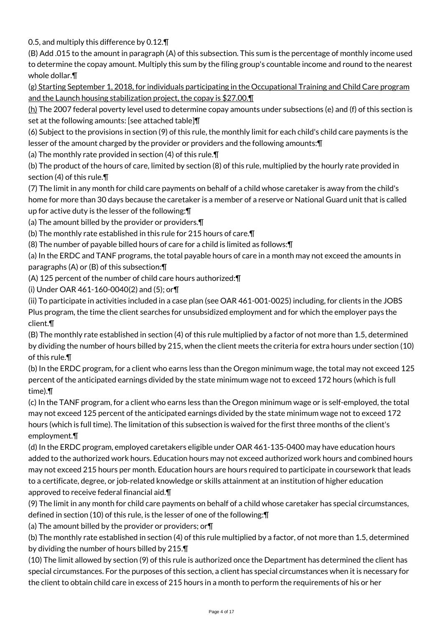0.5, and multiply this difference by 0.12.¶

(B) Add .015 to the amount in paragraph (A) of this subsection. This sum is the percentage of monthly income used to determine the copay amount. Multiply this sum by the filing group's countable income and round to the nearest whole dollar.¶

(g) Starting September 1, 2018, for individuals participating in the Occupational Training and Child Care program and the Launch housing stabilization project, the copay is \$27.00.¶

 $(h)$  The 2007 federal poverty level used to determine copay amounts under subsections (e) and (f) of this section is set at the following amounts: [see attached table]¶

(6) Subject to the provisions in section (9) of this rule, the monthly limit for each child's child care payments is the lesser of the amount charged by the provider or providers and the following amounts:¶

(a) The monthly rate provided in section (4) of this rule.¶

(b) The product of the hours of care, limited by section (8) of this rule, multiplied by the hourly rate provided in section (4) of this rule.¶

(7) The limit in any month for child care payments on behalf of a child whose caretaker is away from the child's home for more than 30 days because the caretaker is a member of a reserve or National Guard unit that is called up for active duty is the lesser of the following:¶

(a) The amount billed by the provider or providers.¶

(b) The monthly rate established in this rule for 215 hours of care.¶

(8) The number of payable billed hours of care for a child is limited as follows:¶

(a) In the ERDC and TANF programs, the total payable hours of care in a month may not exceed the amounts in paragraphs (A) or (B) of this subsection:¶

(A) 125 percent of the number of child care hours authorized:¶

(i) Under OAR 461-160-0040(2) and (5); or¶

(ii) To participate in activities included in a case plan (see OAR 461-001-0025) including, for clients in the JOBS Plus program, the time the client searches for unsubsidized employment and for which the employer pays the client.¶

(B) The monthly rate established in section (4) of this rule multiplied by a factor of not more than 1.5, determined by dividing the number of hours billed by 215, when the client meets the criteria for extra hours under section (10) of this rule.¶

(b) In the ERDC program, for a client who earns less than the Oregon minimum wage, the total may not exceed 125 percent of the anticipated earnings divided by the state minimum wage not to exceed 172 hours (which is full time).¶

(c) In the TANF program, for a client who earns less than the Oregon minimum wage or is self-employed, the total may not exceed 125 percent of the anticipated earnings divided by the state minimum wage not to exceed 172 hours (which is full time). The limitation of this subsection is waived for the first three months of the client's employment.¶

(d) In the ERDC program, employed caretakers eligible under OAR 461-135-0400 may have education hours added to the authorized work hours. Education hours may not exceed authorized work hours and combined hours may not exceed 215 hours per month. Education hours are hours required to participate in coursework that leads to a certificate, degree, or job-related knowledge or skills attainment at an institution of higher education approved to receive federal financial aid.¶

(9) The limit in any month for child care payments on behalf of a child whose caretaker has special circumstances, defined in section (10) of this rule, is the lesser of one of the following:¶

(a) The amount billed by the provider or providers; or¶

(b) The monthly rate established in section (4) of this rule multiplied by a factor, of not more than 1.5, determined by dividing the number of hours billed by 215.¶

(10) The limit allowed by section (9) of this rule is authorized once the Department has determined the client has special circumstances. For the purposes of this section, a client has special circumstances when it is necessary for the client to obtain child care in excess of 215 hours in a month to perform the requirements of his or her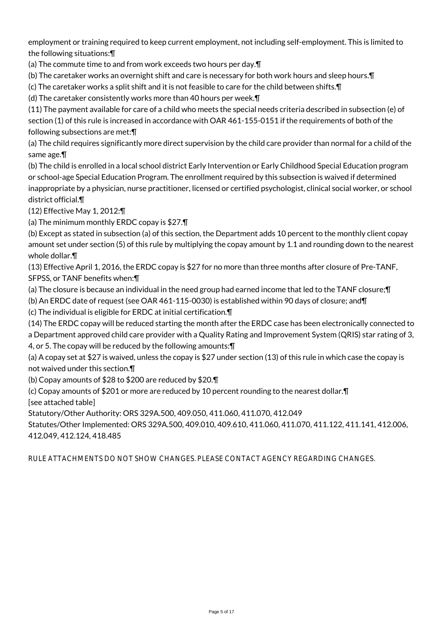employment or training required to keep current employment, not including self-employment. This is limited to the following situations:¶

(a) The commute time to and from work exceeds two hours per day.¶

(b) The caretaker works an overnight shift and care is necessary for both work hours and sleep hours.¶

(c) The caretaker works a split shift and it is not feasible to care for the child between shifts.¶

(d) The caretaker consistently works more than 40 hours per week.¶

(11) The payment available for care of a child who meets the special needs criteria described in subsection (e) of section (1) of this rule is increased in accordance with OAR 461-155-0151 if the requirements of both of the following subsections are met:¶

(a) The child requires significantly more direct supervision by the child care provider than normal for a child of the same age.¶

(b) The child is enrolled in a local school district Early Intervention or Early Childhood Special Education program or school-age Special Education Program. The enrollment required by this subsection is waived if determined inappropriate by a physician, nurse practitioner, licensed or certified psychologist, clinical social worker, or school district official.¶

(12) Effective May 1, 2012:¶

(a) The minimum monthly ERDC copay is \$27.¶

(b) Except as stated in subsection (a) of this section, the Department adds 10 percent to the monthly client copay amount set under section (5) of this rule by multiplying the copay amount by 1.1 and rounding down to the nearest whole dollar.¶

(13) Effective April 1, 2016, the ERDC copay is \$27 for no more than three months after closure of Pre-TANF, SFPSS, or TANF benefits when:¶

(a) The closure is because an individual in the need group had earned income that led to the TANF closure;¶

(b) An ERDC date of request (see OAR 461-115-0030) is established within 90 days of closure; and¶

(c) The individual is eligible for ERDC at initial certification.¶

(14) The ERDC copay will be reduced starting the month after the ERDC case has been electronically connected to a Department approved child care provider with a Quality Rating and Improvement System (QRIS) star rating of 3, 4, or 5. The copay will be reduced by the following amounts:¶

(a) A copay set at \$27 is waived, unless the copay is \$27 under section (13) of this rule in which case the copay is not waived under this section.¶

(b) Copay amounts of \$28 to \$200 are reduced by \$20.¶

(c) Copay amounts of \$201 or more are reduced by 10 percent rounding to the nearest dollar.¶

[see attached table]

Statutory/Other Authority: ORS 329A.500, 409.050, 411.060, 411.070, 412.049

Statutes/Other Implemented: ORS 329A.500, 409.010, 409.610, 411.060, 411.070, 411.122, 411.141, 412.006, 412.049, 412.124, 418.485

RULE ATTACHMENTS DO NOT SHOW CHANGES. PLEASE CONTACT AGENCY REGARDING CHANGES.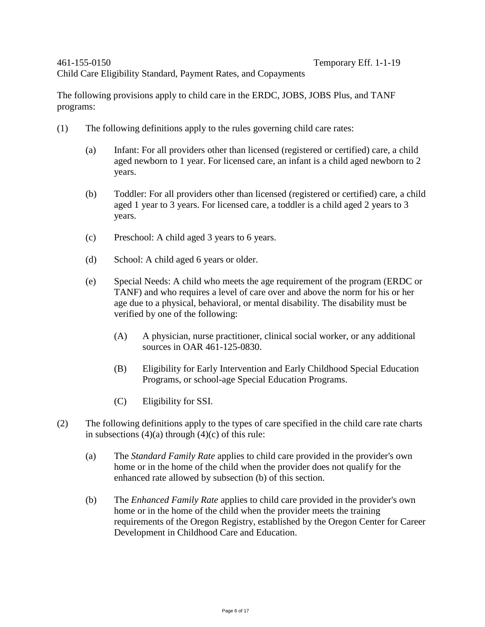Child Care Eligibility Standard, Payment Rates, and Copayments

The following provisions apply to child care in the ERDC, JOBS, JOBS Plus, and TANF programs:

- (1) The following definitions apply to the rules governing child care rates:
	- (a) Infant: For all providers other than licensed (registered or certified) care, a child aged newborn to 1 year. For licensed care, an infant is a child aged newborn to 2 years.
	- (b) Toddler: For all providers other than licensed (registered or certified) care, a child aged 1 year to 3 years. For licensed care, a toddler is a child aged 2 years to 3 years.
	- (c) Preschool: A child aged 3 years to 6 years.
	- (d) School: A child aged 6 years or older.
	- (e) Special Needs: A child who meets the age requirement of the program (ERDC or TANF) and who requires a level of care over and above the norm for his or her age due to a physical, behavioral, or mental disability. The disability must be verified by one of the following:
		- (A) A physician, nurse practitioner, clinical social worker, or any additional sources in OAR 461-125-0830.
		- (B) Eligibility for Early Intervention and Early Childhood Special Education Programs, or school-age Special Education Programs.
		- (C) Eligibility for SSI.
- (2) The following definitions apply to the types of care specified in the child care rate charts in subsections  $(4)(a)$  through  $(4)(c)$  of this rule:
	- (a) The *Standard Family Rate* applies to child care provided in the provider's own home or in the home of the child when the provider does not qualify for the enhanced rate allowed by subsection (b) of this section.
	- (b) The *Enhanced Family Rate* applies to child care provided in the provider's own home or in the home of the child when the provider meets the training requirements of the Oregon Registry, established by the Oregon Center for Career Development in Childhood Care and Education.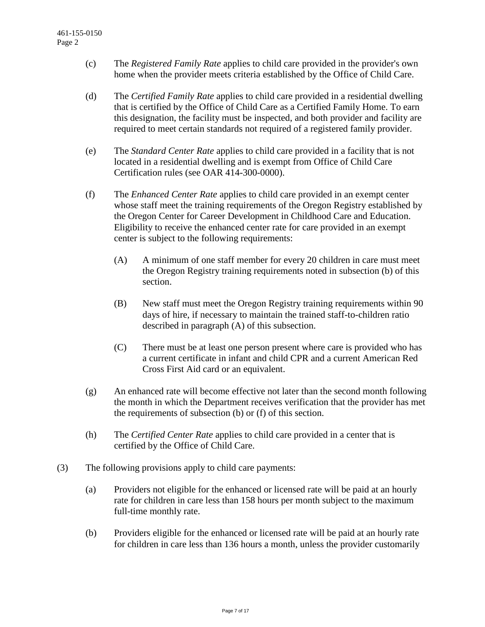- (c) The *Registered Family Rate* applies to child care provided in the provider's own home when the provider meets criteria established by the Office of Child Care.
- (d) The *Certified Family Rate* applies to child care provided in a residential dwelling that is certified by the Office of Child Care as a Certified Family Home. To earn this designation, the facility must be inspected, and both provider and facility are required to meet certain standards not required of a registered family provider.
- (e) The *Standard Center Rate* applies to child care provided in a facility that is not located in a residential dwelling and is exempt from Office of Child Care Certification rules (see OAR 414-300-0000).
- (f) The *Enhanced Center Rate* applies to child care provided in an exempt center whose staff meet the training requirements of the Oregon Registry established by the Oregon Center for Career Development in Childhood Care and Education. Eligibility to receive the enhanced center rate for care provided in an exempt center is subject to the following requirements:
	- (A) A minimum of one staff member for every 20 children in care must meet the Oregon Registry training requirements noted in subsection (b) of this section.
	- (B) New staff must meet the Oregon Registry training requirements within 90 days of hire, if necessary to maintain the trained staff-to-children ratio described in paragraph (A) of this subsection.
	- (C) There must be at least one person present where care is provided who has a current certificate in infant and child CPR and a current American Red Cross First Aid card or an equivalent.
- (g) An enhanced rate will become effective not later than the second month following the month in which the Department receives verification that the provider has met the requirements of subsection (b) or (f) of this section.
- (h) The *Certified Center Rate* applies to child care provided in a center that is certified by the Office of Child Care.
- (3) The following provisions apply to child care payments:
	- (a) Providers not eligible for the enhanced or licensed rate will be paid at an hourly rate for children in care less than 158 hours per month subject to the maximum full-time monthly rate.
	- (b) Providers eligible for the enhanced or licensed rate will be paid at an hourly rate for children in care less than 136 hours a month, unless the provider customarily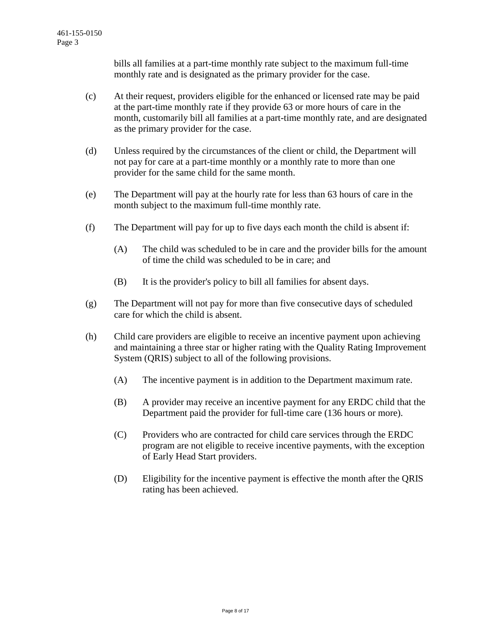bills all families at a part-time monthly rate subject to the maximum full-time monthly rate and is designated as the primary provider for the case.

- (c) At their request, providers eligible for the enhanced or licensed rate may be paid at the part-time monthly rate if they provide 63 or more hours of care in the month, customarily bill all families at a part-time monthly rate, and are designated as the primary provider for the case.
- (d) Unless required by the circumstances of the client or child, the Department will not pay for care at a part-time monthly or a monthly rate to more than one provider for the same child for the same month.
- (e) The Department will pay at the hourly rate for less than 63 hours of care in the month subject to the maximum full-time monthly rate.
- (f) The Department will pay for up to five days each month the child is absent if:
	- (A) The child was scheduled to be in care and the provider bills for the amount of time the child was scheduled to be in care; and
	- (B) It is the provider's policy to bill all families for absent days.
- (g) The Department will not pay for more than five consecutive days of scheduled care for which the child is absent.
- (h) Child care providers are eligible to receive an incentive payment upon achieving and maintaining a three star or higher rating with the Quality Rating Improvement System (QRIS) subject to all of the following provisions.
	- (A) The incentive payment is in addition to the Department maximum rate.
	- (B) A provider may receive an incentive payment for any ERDC child that the Department paid the provider for full-time care (136 hours or more).
	- (C) Providers who are contracted for child care services through the ERDC program are not eligible to receive incentive payments, with the exception of Early Head Start providers.
	- (D) Eligibility for the incentive payment is effective the month after the QRIS rating has been achieved.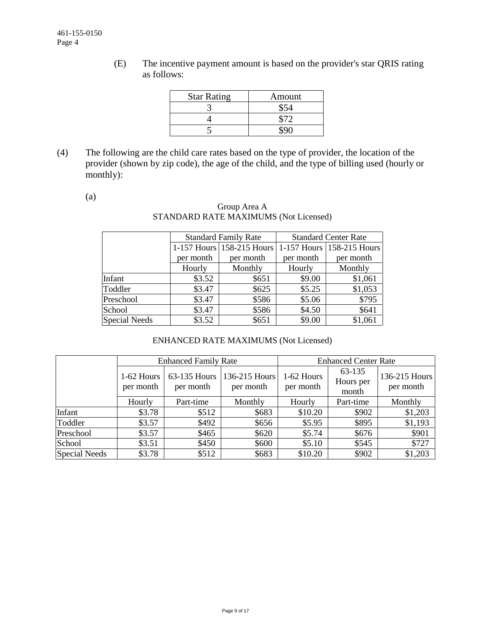(E) The incentive payment amount is based on the provider's star QRIS rating as follows:

| <b>Star Rating</b> | Amount |
|--------------------|--------|
|                    |        |
|                    |        |
|                    |        |

(4) The following are the child care rates based on the type of provider, the location of the provider (shown by zip code), the age of the child, and the type of billing used (hourly or monthly):

(a)

## Group Area A STANDARD RATE MAXIMUMS (Not Licensed)

|                      |           | <b>Standard Family Rate</b> | <b>Standard Center Rate</b> |                           |  |  |
|----------------------|-----------|-----------------------------|-----------------------------|---------------------------|--|--|
|                      |           | 1-157 Hours 158-215 Hours   |                             | 1-157 Hours 158-215 Hours |  |  |
|                      | per month | per month                   | per month                   | per month                 |  |  |
|                      | Hourly    | Monthly                     | Hourly                      | Monthly                   |  |  |
| Infant               | \$3.52    | \$651                       | \$9.00                      | \$1,061                   |  |  |
| Toddler              | \$3.47    | \$625                       | \$5.25                      | \$1,053                   |  |  |
| Preschool            | \$3.47    | \$586                       | \$5.06                      | \$795                     |  |  |
| School               | \$3.47    | \$586                       | \$4.50                      | \$641                     |  |  |
| <b>Special Needs</b> | \$3.52    | \$651                       | \$9.00                      | \$1,061                   |  |  |

# ENHANCED RATE MAXIMUMS (Not Licensed)

|               |                         | <b>Enhanced Family Rate</b> |                            | <b>Enhanced Center Rate</b> |                              |                            |  |
|---------------|-------------------------|-----------------------------|----------------------------|-----------------------------|------------------------------|----------------------------|--|
|               | 1-62 Hours<br>per month | 63-135 Hours<br>per month   | 136-215 Hours<br>per month | 1-62 Hours<br>per month     | 63-135<br>Hours per<br>month | 136-215 Hours<br>per month |  |
|               | Hourly                  | Part-time                   | Monthly                    | Hourly                      | Part-time                    | Monthly                    |  |
| Infant        | \$3.78                  | \$512                       | \$683                      | \$10.20                     | \$902                        | \$1,203                    |  |
| Toddler       | \$3.57                  | \$492                       | \$656                      | \$5.95                      | \$895                        | \$1,193                    |  |
| Preschool     | \$3.57                  | \$465                       | \$620                      | \$5.74                      | \$676                        | \$901                      |  |
| School        | \$3.51                  | \$450                       | \$600                      | \$5.10                      | \$545                        | \$727                      |  |
| Special Needs | \$3.78                  | \$512                       | \$683                      | \$10.20                     | \$902                        | \$1,203                    |  |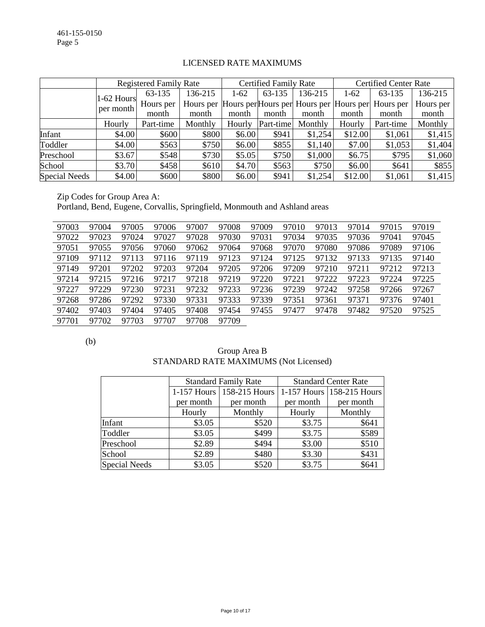|                      |              | <b>Registered Family Rate</b> |         |        | <b>Certified Family Rate</b> |                                                   |         | <b>Certified Center Rate</b> |           |  |
|----------------------|--------------|-------------------------------|---------|--------|------------------------------|---------------------------------------------------|---------|------------------------------|-----------|--|
|                      | $1-62$ Hours | 63-135                        | 136-215 | $1-62$ | 63-135                       | 136-215                                           | $1-62$  | 63-135                       | 136-215   |  |
|                      | per month    | Hours per                     |         |        |                              | Hours per Hours per Hours per Hours per Hours per |         | Hours per                    | Hours per |  |
|                      |              | month                         | month   | month  | month                        | month                                             | month   | month                        | month     |  |
|                      | Hourly       | Part-time                     | Monthly | Hourly | Part-time                    | Monthly                                           | Hourly  | Part-time                    | Monthly   |  |
| Infant               | \$4.00       | \$600                         | \$800   | \$6.00 | \$941                        | \$1,254                                           | \$12.00 | \$1,061                      | \$1,415   |  |
| Toddler              | \$4.00       | \$563                         | \$750   | \$6.00 | \$855                        | \$1,140                                           | \$7.00  | \$1,053                      | \$1,404   |  |
| Preschool            | \$3.67       | \$548                         | \$730   | \$5.05 | \$750                        | \$1,000                                           | \$6.75  | \$795                        | \$1,060   |  |
| School               | \$3.70       | \$458                         | \$610   | \$4.70 | \$563                        | \$750                                             | \$6.00  | \$641                        | \$855     |  |
| <b>Special Needs</b> | \$4.00       | \$600                         | \$800   | \$6.00 | \$941                        | \$1,254                                           | \$12.00 | \$1,061                      | \$1,415   |  |

## LICENSED RATE MAXIMUMS

Zip Codes for Group Area A:

Portland, Bend, Eugene, Corvallis, Springfield, Monmouth and Ashland areas

| 97003 | 97004 | 97005 | 97006 | 97007 | 97008 | 97009 | 97010 | 97013 | 97014 | 97015 | 97019 |
|-------|-------|-------|-------|-------|-------|-------|-------|-------|-------|-------|-------|
| 97022 | 97023 | 97024 | 97027 | 97028 | 97030 | 97031 | 97034 | 97035 | 97036 | 97041 | 97045 |
| 97051 | 97055 | 97056 | 97060 | 97062 | 97064 | 97068 | 97070 | 97080 | 97086 | 97089 | 97106 |
| 97109 | 97112 | 97113 | 97116 | 97119 | 97123 | 97124 | 97125 | 97132 | 97133 | 97135 | 97140 |
| 97149 | 97201 | 97202 | 97203 | 97204 | 97205 | 97206 | 97209 | 97210 | 97211 | 97212 | 97213 |
| 97214 | 97215 | 97216 | 97217 | 97218 | 97219 | 97220 | 97221 | 97222 | 97223 | 97224 | 97225 |
| 97227 | 97229 | 97230 | 97231 | 97232 | 97233 | 97236 | 97239 | 97242 | 97258 | 97266 | 97267 |
| 97268 | 97286 | 97292 | 97330 | 97331 | 97333 | 97339 | 97351 | 97361 | 97371 | 97376 | 97401 |
| 97402 | 97403 | 97404 | 97405 | 97408 | 97454 | 97455 | 97477 | 97478 | 97482 | 97520 | 97525 |
| 97701 | 97702 | 97703 | 97707 | 97708 | 97709 |       |       |       |       |       |       |

(b)

| Group Area B                          |
|---------------------------------------|
| STANDARD RATE MAXIMUMS (Not Licensed) |

|               |               | <b>Standard Family Rate</b> | <b>Standard Center Rate</b> |                               |  |  |
|---------------|---------------|-----------------------------|-----------------------------|-------------------------------|--|--|
|               | $1-157$ Hours | 158-215 Hours               |                             | $1-157$ Hours   158-215 Hours |  |  |
|               | per month     | per month                   | per month                   | per month                     |  |  |
|               | Hourly        | Monthly                     | Hourly                      | Monthly                       |  |  |
| Infant        | \$3.05        | \$520                       | \$3.75                      | \$641                         |  |  |
| Toddler       | \$3.05        | \$499                       | \$3.75                      | \$589                         |  |  |
| Preschool     | \$2.89        | \$494                       | \$3.00                      | \$510                         |  |  |
| School        | \$2.89        | \$480                       | \$3.30                      | \$431                         |  |  |
| Special Needs | \$3.05        | \$520                       | \$3.75                      | \$641                         |  |  |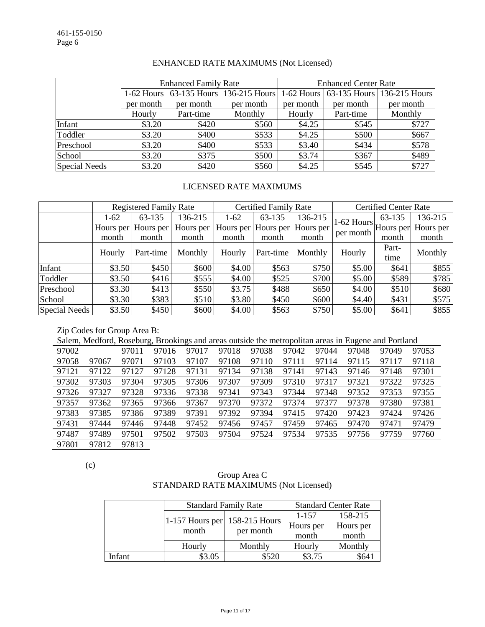|               |           | <b>Enhanced Family Rate</b> |                                       | <b>Enhanced Center Rate</b> |           |                                       |  |
|---------------|-----------|-----------------------------|---------------------------------------|-----------------------------|-----------|---------------------------------------|--|
|               |           |                             | 1-62 Hours 63-135 Hours 136-215 Hours |                             |           | 1-62 Hours 63-135 Hours 136-215 Hours |  |
|               | per month | per month                   | per month                             | per month                   | per month | per month                             |  |
|               | Hourly    | Part-time                   | Monthly                               | Hourly                      | Part-time | Monthly                               |  |
| Infant        | \$3.20    | \$420                       | \$560                                 | \$4.25                      | \$545     | \$727                                 |  |
| Toddler       | \$3.20    | \$400                       | \$533                                 | \$4.25                      | \$500     | \$667                                 |  |
| Preschool     | \$3.20    | \$400                       | \$533                                 | \$3.40                      | \$434     | \$578                                 |  |
| School        | \$3.20    | \$375                       | \$500                                 | \$3.74                      | \$367     | \$489                                 |  |
| Special Needs | \$3.20    | \$420                       | \$560                                 | \$4.25                      | \$545     | \$727                                 |  |

## ENHANCED RATE MAXIMUMS (Not Licensed)

## LICENSED RATE MAXIMUMS

|                      | <b>Registered Family Rate</b> |                     |           | <b>Certified Family Rate</b> |                     |           | <b>Certified Center Rate</b>                       |        |           |
|----------------------|-------------------------------|---------------------|-----------|------------------------------|---------------------|-----------|----------------------------------------------------|--------|-----------|
|                      | $1-62$                        | 63-135              | 136-215   | $1-62$                       | 63-135              | 136-215   |                                                    | 63-135 | 136-215   |
|                      |                               | Hours per Hours per | Hours per |                              | Hours per Hours per | Hours per | $ 1-62$ Hours $ $ Hours per $ \cdot $<br>per month |        | Hours per |
|                      | month                         | month               | month     | month                        | month               | month     |                                                    | month  | month     |
|                      | Hourly                        | Part-time           | Monthly   | Hourly                       | Part-time           | Monthly   | Hourly                                             | Part-  | Monthly   |
|                      |                               |                     |           |                              |                     |           |                                                    | time   |           |
| Infant               | \$3.50                        | \$450               | \$600     | \$4.00                       | \$563               | \$750     | \$5.00                                             | \$641  | \$855     |
| Toddler              | \$3.50                        | \$416               | \$555     | \$4.00                       | \$525               | \$700     | \$5.00                                             | \$589  | \$785     |
| Preschool            | \$3.30                        | \$413               | \$550     | \$3.75                       | \$488               | \$650     | \$4.00                                             | \$510  | \$680     |
| School               | \$3.30                        | \$383               | \$510     | \$3.80                       | \$450               | \$600     | \$4.40                                             | \$431  | \$575     |
| <b>Special Needs</b> | \$3.50                        | \$450               | \$600     | \$4.00                       | \$563               | \$750     | \$5.00                                             | \$641  | \$855     |

Zip Codes for Group Area B:

Salem, Medford, Roseburg, Brookings and areas outside the metropolitan areas in Eugene and Portland

| 97002 |       | 97011 | 97016 | 97017 | 97018 | 97038 | 97042 | 97044 | 97048 | 97049 | 97053 |
|-------|-------|-------|-------|-------|-------|-------|-------|-------|-------|-------|-------|
| 97058 | 97067 | 97071 | 97103 | 97107 | 97108 | 97110 | 97111 | 97114 | 97115 | 97117 | 97118 |
| 97121 | 97122 | 97127 | 97128 | 97131 | 97134 | 97138 | 97141 | 97143 | 97146 | 97148 | 97301 |
| 97302 | 97303 | 97304 | 97305 | 97306 | 97307 | 97309 | 97310 | 97317 | 97321 | 97322 | 97325 |
| 97326 | 97327 | 97328 | 97336 | 97338 | 97341 | 97343 | 97344 | 97348 | 97352 | 97353 | 97355 |
| 97357 | 97362 | 97365 | 97366 | 97367 | 97370 | 97372 | 97374 | 97377 | 97378 | 97380 | 97381 |
| 97383 | 97385 | 97386 | 97389 | 97391 | 97392 | 97394 | 97415 | 97420 | 97423 | 97424 | 97426 |
| 97431 | 97444 | 97446 | 97448 | 97452 | 97456 | 97457 | 97459 | 97465 | 97470 | 97471 | 97479 |
| 97487 | 97489 | 97501 | 97502 | 97503 | 97504 | 97524 | 97534 | 97535 | 97756 | 97759 | 97760 |
| 97801 | 97812 | 97813 |       |       |       |       |       |       |       |       |       |

(c)

# Group Area C STANDARD RATE MAXIMUMS (Not Licensed)

|        |                                          | <b>Standard Family Rate</b> | <b>Standard Center Rate</b> |           |  |
|--------|------------------------------------------|-----------------------------|-----------------------------|-----------|--|
|        |                                          |                             | 1-157                       | 158-215   |  |
|        | 1-157 Hours per $158-215$ Hours<br>month | per month                   | Hours per                   | Hours per |  |
|        |                                          |                             | month                       | month     |  |
|        | Hourly                                   | Monthly                     | Hourly                      | Monthly   |  |
| Infant | \$3.05                                   | \$520                       | \$3.75                      | \$64.     |  |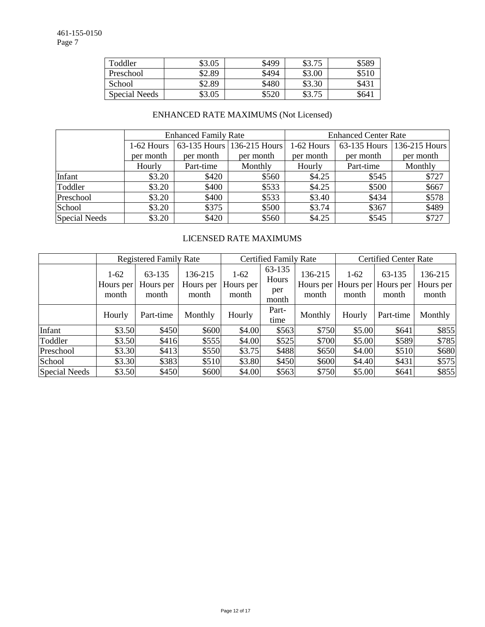| Toddler       | \$3.05 | \$499 | \$3.75 | \$589 |
|---------------|--------|-------|--------|-------|
| Preschool     | \$2.89 | \$494 | \$3.00 | \$510 |
| School        | \$2.89 | \$480 | \$3.30 | \$43  |
| Special Needs | \$3.05 | \$520 | \$3.75 | \$641 |

# ENHANCED RATE MAXIMUMS (Not Licensed)

|                      |            | <b>Enhanced Family Rate</b> |                            | <b>Enhanced Center Rate</b> |              |               |  |  |
|----------------------|------------|-----------------------------|----------------------------|-----------------------------|--------------|---------------|--|--|
|                      | 1-62 Hours |                             | 63-135 Hours 136-215 Hours | 1-62 Hours                  | 63-135 Hours | 136-215 Hours |  |  |
|                      | per month  | per month                   | per month                  | per month                   | per month    | per month     |  |  |
|                      | Hourly     | Part-time                   | Monthly                    | Hourly                      | Part-time    | Monthly       |  |  |
| Infant               | \$3.20     | \$420                       | \$560                      | \$4.25                      | \$545        | \$727         |  |  |
| Toddler              | \$3.20     | \$400                       | \$533                      | \$4.25                      | \$500        | \$667         |  |  |
| Preschool            | \$3.20     | \$400                       | \$533                      | \$3.40                      | \$434        | \$578         |  |  |
| School               | \$3.20     | \$375                       | \$500                      | \$3.74                      | \$367        | \$489         |  |  |
| <b>Special Needs</b> | \$3.20     | \$420                       | \$560                      | \$4.25                      | \$545        | \$727         |  |  |

# LICENSED RATE MAXIMUMS

|               |                              | <b>Registered Family Rate</b> |                               | <b>Certified Family Rate</b>   |                                 |                  | <b>Certified Center Rate</b>           |                              |                               |  |
|---------------|------------------------------|-------------------------------|-------------------------------|--------------------------------|---------------------------------|------------------|----------------------------------------|------------------------------|-------------------------------|--|
|               | $1-62$<br>Hours per<br>month | 63-135<br>Hours per<br>month  | 136-215<br>Hours per<br>month | $1 - 62$<br>Hours per<br>month | 63-135<br>Hours<br>per<br>month | 136-215<br>month | $1-62$<br>Hours per Hours per<br>month | 63-135<br>Hours per<br>month | 136-215<br>Hours per<br>month |  |
|               | Hourly                       | Part-time                     | Monthly                       | Hourly                         | Part-<br>time                   | Monthly          | Hourly                                 | Part-time                    | Monthly                       |  |
| Infant        | \$3.50                       | \$450                         | \$600                         | \$4.00                         | \$563                           | \$750            | \$5.00                                 | \$641                        | \$855                         |  |
| Toddler       | \$3.50                       | \$416                         | \$555                         | \$4.00                         | \$525                           | \$700            | \$5.00                                 | \$589                        | \$785                         |  |
| Preschool     | \$3.30                       | \$413                         | \$550                         | \$3.75                         | \$488                           | \$650            | \$4.00                                 | \$510                        | \$680                         |  |
| School        | \$3.30                       | \$383                         | \$510                         | \$3.80                         | \$450                           | \$600            | \$4.40                                 | \$431                        | \$575                         |  |
| Special Needs | \$3.50                       | \$450                         | \$600                         | \$4.00                         | \$563                           | \$750            | \$5.00                                 | \$641                        | \$855                         |  |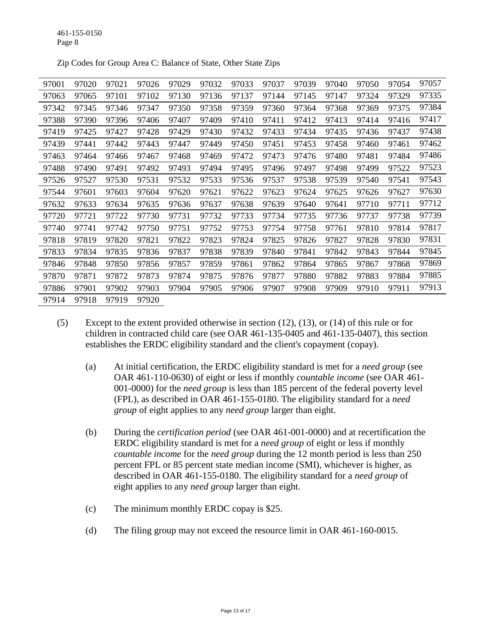| 97001 | 97020 | 97021 | 97026 | 97029 | 97032 | 97033 | 97037 | 97039 | 97040 | 97050 | 97054 | 97057 |
|-------|-------|-------|-------|-------|-------|-------|-------|-------|-------|-------|-------|-------|
| 97063 | 97065 | 97101 | 97102 | 97130 | 97136 | 97137 | 97144 | 97145 | 97147 | 97324 | 97329 | 97335 |
| 97342 | 97345 | 97346 | 97347 | 97350 | 97358 | 97359 | 97360 | 97364 | 97368 | 97369 | 97375 | 97384 |
| 97388 | 97390 | 97396 | 97406 | 97407 | 97409 | 97410 | 97411 | 97412 | 97413 | 97414 | 97416 | 97417 |
| 97419 | 97425 | 97427 | 97428 | 97429 | 97430 | 97432 | 97433 | 97434 | 97435 | 97436 | 97437 | 97438 |
| 97439 | 97441 | 97442 | 97443 | 97447 | 97449 | 97450 | 97451 | 97453 | 97458 | 97460 | 97461 | 97462 |
| 97463 | 97464 | 97466 | 97467 | 97468 | 97469 | 97472 | 97473 | 97476 | 97480 | 97481 | 97484 | 97486 |
| 97488 | 97490 | 97491 | 97492 | 97493 | 97494 | 97495 | 97496 | 97497 | 97498 | 97499 | 97522 | 97523 |
| 97526 | 97527 | 97530 | 97531 | 97532 | 97533 | 97536 | 97537 | 97538 | 97539 | 97540 | 97541 | 97543 |
| 97544 | 97601 | 97603 | 97604 | 97620 | 97621 | 97622 | 97623 | 97624 | 97625 | 97626 | 97627 | 97630 |
| 97632 | 97633 | 97634 | 97635 | 97636 | 97637 | 97638 | 97639 | 97640 | 97641 | 97710 | 97711 | 97712 |
| 97720 | 97721 | 97722 | 97730 | 97731 | 97732 | 97733 | 97734 | 97735 | 97736 | 97737 | 97738 | 97739 |
| 97740 | 97741 | 97742 | 97750 | 97751 | 97752 | 97753 | 97754 | 97758 | 97761 | 97810 | 97814 | 97817 |
| 97818 | 97819 | 97820 | 97821 | 97822 | 97823 | 97824 | 97825 | 97826 | 97827 | 97828 | 97830 | 97831 |
| 97833 | 97834 | 97835 | 97836 | 97837 | 97838 | 97839 | 97840 | 97841 | 97842 | 97843 | 97844 | 97845 |
| 97846 | 97848 | 97850 | 97856 | 97857 | 97859 | 97861 | 97862 | 97864 | 97865 | 97867 | 97868 | 97869 |
| 97870 | 97871 | 97872 | 97873 | 97874 | 97875 | 97876 | 97877 | 97880 | 97882 | 97883 | 97884 | 97885 |
| 97886 | 97901 | 97902 | 97903 | 97904 | 97905 | 97906 | 97907 | 97908 | 97909 | 97910 | 97911 | 97913 |
| 97914 | 97918 | 97919 | 97920 |       |       |       |       |       |       |       |       |       |

Zip Codes for Group Area C: Balance of State, Other State Zips

- (5) Except to the extent provided otherwise in section (12), (13), or (14) of this rule or for children in contracted child care (see OAR 461-135-0405 and 461-135-0407), this section establishes the ERDC eligibility standard and the client's copayment (copay).
	- (a) At initial certification, the ERDC eligibility standard is met for a *need group* (see OAR 461-110-0630) of eight or less if monthly *countable income* (see OAR 461- 001-0000) for the *need group* is less than 185 percent of the federal poverty level (FPL), as described in OAR 461-155-0180. The eligibility standard for a *need group* of eight applies to any *need group* larger than eight.
	- (b) During the *certification period* (see OAR 461-001-0000) and at recertification the ERDC eligibility standard is met for a *need group* of eight or less if monthly *countable income* for the *need group* during the 12 month period is less than 250 percent FPL or 85 percent state median income (SMI), whichever is higher, as described in OAR 461-155-0180. The eligibility standard for a *need group* of eight applies to any *need group* larger than eight.
	- (c) The minimum monthly ERDC copay is \$25.
	- (d) The filing group may not exceed the resource limit in OAR 461-160-0015.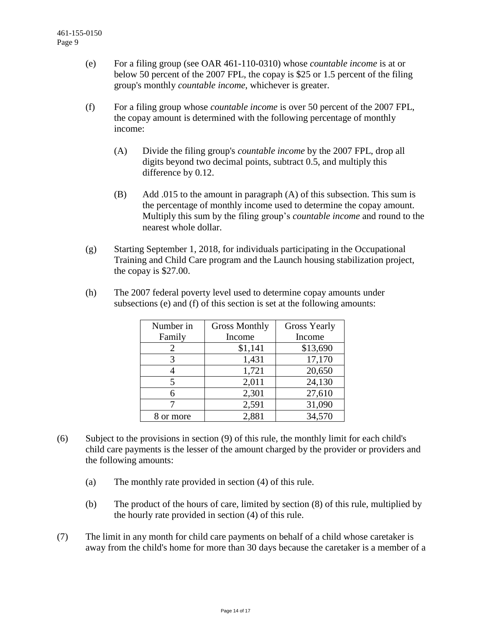- (e) For a filing group (see OAR 461-110-0310) whose *countable income* is at or below 50 percent of the 2007 FPL, the copay is \$25 or 1.5 percent of the filing group's monthly *countable income*, whichever is greater.
- (f) For a filing group whose *countable income* is over 50 percent of the 2007 FPL, the copay amount is determined with the following percentage of monthly income:
	- (A) Divide the filing group's *countable income* by the 2007 FPL, drop all digits beyond two decimal points, subtract 0.5, and multiply this difference by 0.12.
	- (B) Add .015 to the amount in paragraph (A) of this subsection. This sum is the percentage of monthly income used to determine the copay amount. Multiply this sum by the filing group's *countable income* and round to the nearest whole dollar.
- (g) Starting September 1, 2018, for individuals participating in the Occupational Training and Child Care program and the Launch housing stabilization project, the copay is \$27.00.
- (h) The 2007 federal poverty level used to determine copay amounts under subsections (e) and (f) of this section is set at the following amounts:

| Number in | <b>Gross Monthly</b> | <b>Gross Yearly</b> |  |  |  |
|-----------|----------------------|---------------------|--|--|--|
| Family    | Income               | Income              |  |  |  |
| 2         | \$1,141              | \$13,690            |  |  |  |
| 3         | 1,431                | 17,170              |  |  |  |
|           | 1,721                | 20,650              |  |  |  |
| 5         | 2,011                | 24,130              |  |  |  |
| 6         | 2,301                | 27,610              |  |  |  |
|           | 2,591                | 31,090              |  |  |  |
| 8 or more | 2,881                | 34,570              |  |  |  |

- (6) Subject to the provisions in section (9) of this rule, the monthly limit for each child's child care payments is the lesser of the amount charged by the provider or providers and the following amounts:
	- (a) The monthly rate provided in section (4) of this rule.
	- (b) The product of the hours of care, limited by section (8) of this rule, multiplied by the hourly rate provided in section (4) of this rule.
- (7) The limit in any month for child care payments on behalf of a child whose caretaker is away from the child's home for more than 30 days because the caretaker is a member of a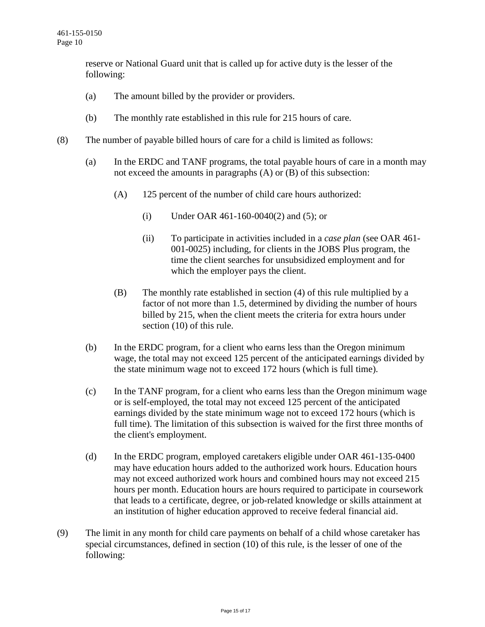reserve or National Guard unit that is called up for active duty is the lesser of the following:

- (a) The amount billed by the provider or providers.
- (b) The monthly rate established in this rule for 215 hours of care.
- (8) The number of payable billed hours of care for a child is limited as follows:
	- (a) In the ERDC and TANF programs, the total payable hours of care in a month may not exceed the amounts in paragraphs (A) or (B) of this subsection:
		- (A) 125 percent of the number of child care hours authorized:
			- (i) Under OAR 461-160-0040(2) and (5); or
			- (ii) To participate in activities included in a *case plan* (see OAR 461- 001-0025) including, for clients in the JOBS Plus program, the time the client searches for unsubsidized employment and for which the employer pays the client.
		- (B) The monthly rate established in section (4) of this rule multiplied by a factor of not more than 1.5, determined by dividing the number of hours billed by 215, when the client meets the criteria for extra hours under section (10) of this rule.
	- (b) In the ERDC program, for a client who earns less than the Oregon minimum wage, the total may not exceed 125 percent of the anticipated earnings divided by the state minimum wage not to exceed 172 hours (which is full time).
	- (c) In the TANF program, for a client who earns less than the Oregon minimum wage or is self-employed, the total may not exceed 125 percent of the anticipated earnings divided by the state minimum wage not to exceed 172 hours (which is full time). The limitation of this subsection is waived for the first three months of the client's employment.
	- (d) In the ERDC program, employed caretakers eligible under OAR 461-135-0400 may have education hours added to the authorized work hours. Education hours may not exceed authorized work hours and combined hours may not exceed 215 hours per month. Education hours are hours required to participate in coursework that leads to a certificate, degree, or job-related knowledge or skills attainment at an institution of higher education approved to receive federal financial aid.
- (9) The limit in any month for child care payments on behalf of a child whose caretaker has special circumstances, defined in section (10) of this rule, is the lesser of one of the following: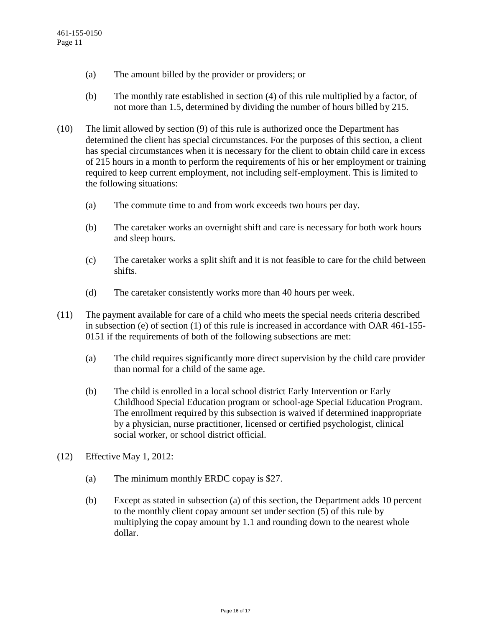- (a) The amount billed by the provider or providers; or
- (b) The monthly rate established in section (4) of this rule multiplied by a factor, of not more than 1.5, determined by dividing the number of hours billed by 215.
- (10) The limit allowed by section (9) of this rule is authorized once the Department has determined the client has special circumstances. For the purposes of this section, a client has special circumstances when it is necessary for the client to obtain child care in excess of 215 hours in a month to perform the requirements of his or her employment or training required to keep current employment, not including self-employment. This is limited to the following situations:
	- (a) The commute time to and from work exceeds two hours per day.
	- (b) The caretaker works an overnight shift and care is necessary for both work hours and sleep hours.
	- (c) The caretaker works a split shift and it is not feasible to care for the child between shifts.
	- (d) The caretaker consistently works more than 40 hours per week.
- (11) The payment available for care of a child who meets the special needs criteria described in subsection (e) of section (1) of this rule is increased in accordance with OAR 461-155- 0151 if the requirements of both of the following subsections are met:
	- (a) The child requires significantly more direct supervision by the child care provider than normal for a child of the same age.
	- (b) The child is enrolled in a local school district Early Intervention or Early Childhood Special Education program or school-age Special Education Program. The enrollment required by this subsection is waived if determined inappropriate by a physician, nurse practitioner, licensed or certified psychologist, clinical social worker, or school district official.
- (12) Effective May 1, 2012:
	- (a) The minimum monthly ERDC copay is \$27.
	- (b) Except as stated in subsection (a) of this section, the Department adds 10 percent to the monthly client copay amount set under section (5) of this rule by multiplying the copay amount by 1.1 and rounding down to the nearest whole dollar.